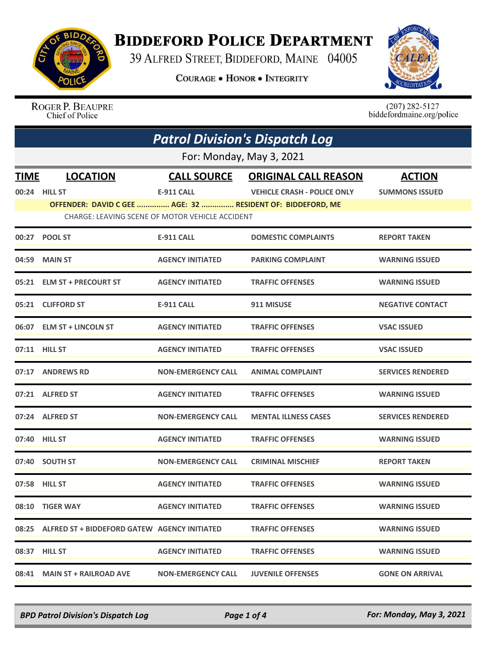

## **BIDDEFORD POLICE DEPARTMENT**

39 ALFRED STREET, BIDDEFORD, MAINE 04005

**COURAGE . HONOR . INTEGRITY** 



ROGER P. BEAUPRE<br>Chief of Police

 $(207)$  282-5127<br>biddefordmaine.org/police

|             | <b>Patrol Division's Dispatch Log</b>                                                                         |                           |                                    |                          |  |  |  |
|-------------|---------------------------------------------------------------------------------------------------------------|---------------------------|------------------------------------|--------------------------|--|--|--|
|             | For: Monday, May 3, 2021                                                                                      |                           |                                    |                          |  |  |  |
| <b>TIME</b> | <b>LOCATION</b>                                                                                               | <b>CALL SOURCE</b>        | <b>ORIGINAL CALL REASON</b>        | <b>ACTION</b>            |  |  |  |
|             | 00:24 HILL ST                                                                                                 | <b>E-911 CALL</b>         | <b>VEHICLE CRASH - POLICE ONLY</b> | <b>SUMMONS ISSUED</b>    |  |  |  |
|             | OFFENDER: DAVID C GEE  AGE: 32  RESIDENT OF: BIDDEFORD, ME<br>CHARGE: LEAVING SCENE OF MOTOR VEHICLE ACCIDENT |                           |                                    |                          |  |  |  |
| 00:27       | <b>POOL ST</b>                                                                                                | E-911 CALL                | <b>DOMESTIC COMPLAINTS</b>         | <b>REPORT TAKEN</b>      |  |  |  |
| 04:59       | <b>MAIN ST</b>                                                                                                | <b>AGENCY INITIATED</b>   | <b>PARKING COMPLAINT</b>           | <b>WARNING ISSUED</b>    |  |  |  |
|             | 05:21 ELM ST + PRECOURT ST                                                                                    | <b>AGENCY INITIATED</b>   | <b>TRAFFIC OFFENSES</b>            | <b>WARNING ISSUED</b>    |  |  |  |
|             | 05:21 CLIFFORD ST                                                                                             | <b>E-911 CALL</b>         | 911 MISUSE                         | <b>NEGATIVE CONTACT</b>  |  |  |  |
|             | 06:07 ELM ST + LINCOLN ST                                                                                     | <b>AGENCY INITIATED</b>   | <b>TRAFFIC OFFENSES</b>            | <b>VSAC ISSUED</b>       |  |  |  |
|             | 07:11 HILL ST                                                                                                 | <b>AGENCY INITIATED</b>   | <b>TRAFFIC OFFENSES</b>            | <b>VSAC ISSUED</b>       |  |  |  |
|             | 07:17 ANDREWS RD                                                                                              | <b>NON-EMERGENCY CALL</b> | <b>ANIMAL COMPLAINT</b>            | <b>SERVICES RENDERED</b> |  |  |  |
|             | 07:21 ALFRED ST                                                                                               | <b>AGENCY INITIATED</b>   | <b>TRAFFIC OFFENSES</b>            | <b>WARNING ISSUED</b>    |  |  |  |
|             | 07:24 ALFRED ST                                                                                               | <b>NON-EMERGENCY CALL</b> | <b>MENTAL ILLNESS CASES</b>        | <b>SERVICES RENDERED</b> |  |  |  |
|             | 07:40 HILL ST                                                                                                 | <b>AGENCY INITIATED</b>   | <b>TRAFFIC OFFENSES</b>            | <b>WARNING ISSUED</b>    |  |  |  |
|             | 07:40 SOUTH ST                                                                                                | <b>NON-EMERGENCY CALL</b> | <b>CRIMINAL MISCHIEF</b>           | <b>REPORT TAKEN</b>      |  |  |  |
|             | 07:58 HILL ST                                                                                                 | <b>AGENCY INITIATED</b>   | <b>TRAFFIC OFFENSES</b>            | <b>WARNING ISSUED</b>    |  |  |  |
|             | 08:10 TIGER WAY                                                                                               | <b>AGENCY INITIATED</b>   | <b>TRAFFIC OFFENSES</b>            | <b>WARNING ISSUED</b>    |  |  |  |
|             | 08:25 ALFRED ST + BIDDEFORD GATEW AGENCY INITIATED                                                            |                           | <b>TRAFFIC OFFENSES</b>            | <b>WARNING ISSUED</b>    |  |  |  |
|             | 08:37 HILL ST                                                                                                 | <b>AGENCY INITIATED</b>   | <b>TRAFFIC OFFENSES</b>            | <b>WARNING ISSUED</b>    |  |  |  |
|             | 08:41 MAIN ST + RAILROAD AVE                                                                                  | <b>NON-EMERGENCY CALL</b> | <b>JUVENILE OFFENSES</b>           | <b>GONE ON ARRIVAL</b>   |  |  |  |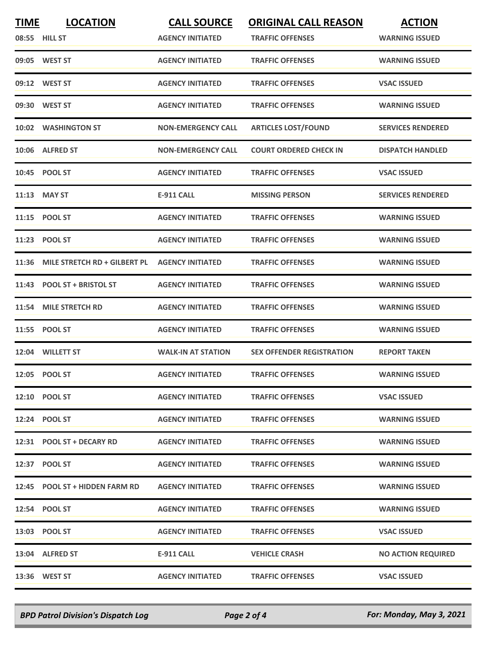| <b>TIME</b>   | <b>LOCATION</b>                | <b>CALL SOURCE</b>        | <b>ORIGINAL CALL REASON</b>      | <b>ACTION</b>             |
|---------------|--------------------------------|---------------------------|----------------------------------|---------------------------|
| 08:55 HILL ST |                                | <b>AGENCY INITIATED</b>   | <b>TRAFFIC OFFENSES</b>          | <b>WARNING ISSUED</b>     |
|               | 09:05 WEST ST                  | <b>AGENCY INITIATED</b>   | <b>TRAFFIC OFFENSES</b>          | <b>WARNING ISSUED</b>     |
|               | 09:12 WEST ST                  | <b>AGENCY INITIATED</b>   | <b>TRAFFIC OFFENSES</b>          | <b>VSAC ISSUED</b>        |
|               | 09:30 WEST ST                  | <b>AGENCY INITIATED</b>   | <b>TRAFFIC OFFENSES</b>          | <b>WARNING ISSUED</b>     |
|               | 10:02 WASHINGTON ST            | <b>NON-EMERGENCY CALL</b> | <b>ARTICLES LOST/FOUND</b>       | <b>SERVICES RENDERED</b>  |
|               | 10:06 ALFRED ST                | <b>NON-EMERGENCY CALL</b> | <b>COURT ORDERED CHECK IN</b>    | <b>DISPATCH HANDLED</b>   |
|               | 10:45 POOL ST                  | <b>AGENCY INITIATED</b>   | <b>TRAFFIC OFFENSES</b>          | <b>VSAC ISSUED</b>        |
|               | $11:13$ MAY ST                 | <b>E-911 CALL</b>         | <b>MISSING PERSON</b>            | <b>SERVICES RENDERED</b>  |
| 11:15         | <b>POOL ST</b>                 | <b>AGENCY INITIATED</b>   | <b>TRAFFIC OFFENSES</b>          | <b>WARNING ISSUED</b>     |
|               | 11:23 POOL ST                  | <b>AGENCY INITIATED</b>   | <b>TRAFFIC OFFENSES</b>          | <b>WARNING ISSUED</b>     |
| 11:36         | MILE STRETCH RD + GILBERT PL   | <b>AGENCY INITIATED</b>   | <b>TRAFFIC OFFENSES</b>          | <b>WARNING ISSUED</b>     |
|               | 11:43 POOL ST + BRISTOL ST     | <b>AGENCY INITIATED</b>   | <b>TRAFFIC OFFENSES</b>          | <b>WARNING ISSUED</b>     |
| 11:54         | <b>MILE STRETCH RD</b>         | <b>AGENCY INITIATED</b>   | <b>TRAFFIC OFFENSES</b>          | <b>WARNING ISSUED</b>     |
| 11:55         | <b>POOL ST</b>                 | <b>AGENCY INITIATED</b>   | <b>TRAFFIC OFFENSES</b>          | <b>WARNING ISSUED</b>     |
|               | 12:04 WILLETT ST               | <b>WALK-IN AT STATION</b> | <b>SEX OFFENDER REGISTRATION</b> | <b>REPORT TAKEN</b>       |
|               | 12:05 POOL ST                  | <b>AGENCY INITIATED</b>   | <b>TRAFFIC OFFENSES</b>          | <b>WARNING ISSUED</b>     |
|               | 12:10 POOL ST                  | <b>AGENCY INITIATED</b>   | <b>TRAFFIC OFFENSES</b>          | <b>VSAC ISSUED</b>        |
|               | 12:24 POOL ST                  | <b>AGENCY INITIATED</b>   | <b>TRAFFIC OFFENSES</b>          | <b>WARNING ISSUED</b>     |
|               | 12:31 POOL ST + DECARY RD      | <b>AGENCY INITIATED</b>   | <b>TRAFFIC OFFENSES</b>          | <b>WARNING ISSUED</b>     |
|               | 12:37 POOL ST                  | <b>AGENCY INITIATED</b>   | <b>TRAFFIC OFFENSES</b>          | <b>WARNING ISSUED</b>     |
|               | 12:45 POOL ST + HIDDEN FARM RD | <b>AGENCY INITIATED</b>   | <b>TRAFFIC OFFENSES</b>          | <b>WARNING ISSUED</b>     |
|               | 12:54 POOL ST                  | <b>AGENCY INITIATED</b>   | <b>TRAFFIC OFFENSES</b>          | <b>WARNING ISSUED</b>     |
|               | 13:03 POOL ST                  | <b>AGENCY INITIATED</b>   | <b>TRAFFIC OFFENSES</b>          | <b>VSAC ISSUED</b>        |
|               | 13:04 ALFRED ST                | E-911 CALL                | <b>VEHICLE CRASH</b>             | <b>NO ACTION REQUIRED</b> |
|               | 13:36 WEST ST                  | <b>AGENCY INITIATED</b>   | <b>TRAFFIC OFFENSES</b>          | <b>VSAC ISSUED</b>        |

*BPD Patrol Division's Dispatch Log Page 2 of 4 For: Monday, May 3, 2021*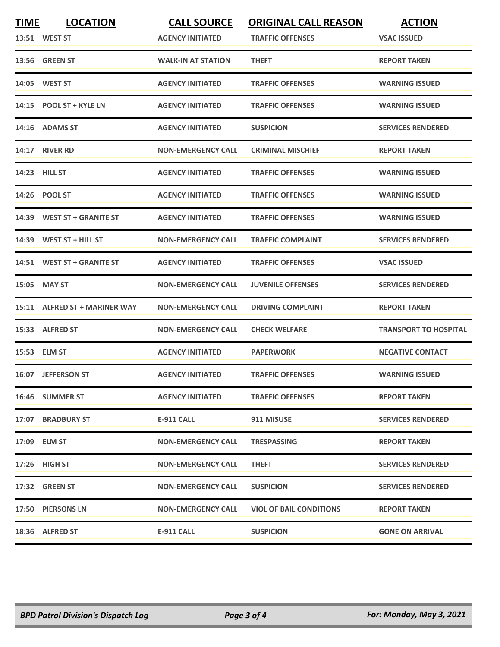| <b>TIME</b> | <b>LOCATION</b>               | <b>CALL SOURCE</b>        | <b>ORIGINAL CALL REASON</b>    | <b>ACTION</b>                |
|-------------|-------------------------------|---------------------------|--------------------------------|------------------------------|
|             | 13:51 WEST ST                 | <b>AGENCY INITIATED</b>   | <b>TRAFFIC OFFENSES</b>        | <b>VSAC ISSUED</b>           |
|             | 13:56 GREEN ST                | <b>WALK-IN AT STATION</b> | <b>THEFT</b>                   | <b>REPORT TAKEN</b>          |
|             | 14:05 WEST ST                 | <b>AGENCY INITIATED</b>   | <b>TRAFFIC OFFENSES</b>        | <b>WARNING ISSUED</b>        |
|             | 14:15 POOL ST + KYLE LN       | <b>AGENCY INITIATED</b>   | <b>TRAFFIC OFFENSES</b>        | <b>WARNING ISSUED</b>        |
|             | 14:16 ADAMS ST                | <b>AGENCY INITIATED</b>   | <b>SUSPICION</b>               | <b>SERVICES RENDERED</b>     |
|             | <b>14:17 RIVER RD</b>         | <b>NON-EMERGENCY CALL</b> | <b>CRIMINAL MISCHIEF</b>       | <b>REPORT TAKEN</b>          |
|             | 14:23 HILL ST                 | <b>AGENCY INITIATED</b>   | <b>TRAFFIC OFFENSES</b>        | <b>WARNING ISSUED</b>        |
|             | 14:26 POOL ST                 | <b>AGENCY INITIATED</b>   | <b>TRAFFIC OFFENSES</b>        | <b>WARNING ISSUED</b>        |
|             | 14:39 WEST ST + GRANITE ST    | <b>AGENCY INITIATED</b>   | <b>TRAFFIC OFFENSES</b>        | <b>WARNING ISSUED</b>        |
|             | $14:39$ WEST ST + HILL ST     | <b>NON-EMERGENCY CALL</b> | <b>TRAFFIC COMPLAINT</b>       | <b>SERVICES RENDERED</b>     |
|             | 14:51 WEST ST + GRANITE ST    | <b>AGENCY INITIATED</b>   | <b>TRAFFIC OFFENSES</b>        | <b>VSAC ISSUED</b>           |
|             | 15:05 MAY ST                  | <b>NON-EMERGENCY CALL</b> | <b>JUVENILE OFFENSES</b>       | <b>SERVICES RENDERED</b>     |
|             | 15:11 ALFRED ST + MARINER WAY | <b>NON-EMERGENCY CALL</b> | <b>DRIVING COMPLAINT</b>       | <b>REPORT TAKEN</b>          |
|             | 15:33 ALFRED ST               | <b>NON-EMERGENCY CALL</b> | <b>CHECK WELFARE</b>           | <b>TRANSPORT TO HOSPITAL</b> |
|             | 15:53 ELM ST                  | <b>AGENCY INITIATED</b>   | <b>PAPERWORK</b>               | <b>NEGATIVE CONTACT</b>      |
|             | 16:07 JEFFERSON ST            | <b>AGENCY INITIATED</b>   | <b>TRAFFIC OFFENSES</b>        | <b>WARNING ISSUED</b>        |
|             | 16:46 SUMMER ST               | <b>AGENCY INITIATED</b>   | <b>TRAFFIC OFFENSES</b>        | <b>REPORT TAKEN</b>          |
|             | 17:07 BRADBURY ST             | E-911 CALL                | 911 MISUSE                     | <b>SERVICES RENDERED</b>     |
|             | 17:09 ELM ST                  | NON-EMERGENCY CALL        | <b>TRESPASSING</b>             | <b>REPORT TAKEN</b>          |
|             | 17:26 HIGH ST                 | <b>NON-EMERGENCY CALL</b> | <b>THEFT</b>                   | <b>SERVICES RENDERED</b>     |
|             | 17:32 GREEN ST                | <b>NON-EMERGENCY CALL</b> | <b>SUSPICION</b>               | <b>SERVICES RENDERED</b>     |
|             | 17:50 PIERSONS LN             | <b>NON-EMERGENCY CALL</b> | <b>VIOL OF BAIL CONDITIONS</b> | <b>REPORT TAKEN</b>          |
|             | 18:36 ALFRED ST               | E-911 CALL                | <b>SUSPICION</b>               | <b>GONE ON ARRIVAL</b>       |